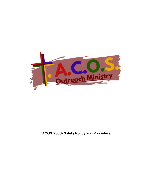

# **TACOS Youth Safety Policy and Procedure**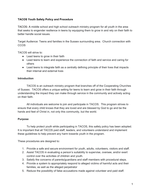# **TACOS Youth Safety Policy and Procedure**

TACOS- A middle school and high school outreach ministry program for all youth in the area that seeks to engender resilience in teens by equipping them to grow in and rely on their faith to better handle social issues.

Target Audience: Teens and families in the Sussex surrounding area. Church connection with CCOS

TACOS will strive to:

- Lead teens to grow in their faith
- Lead teens to learn and experience the connection of faith and service and caring for others
- Lead teens to integrate faith as a centrally defining principle of their lives that impacts their internal and external lives

## **Introduction**

TACOS is an outreach ministry program that branches off of the Cooperating Churches of Sussex. TACOS offers a unique setting for teens to learn and grow in their faith through understanding the impact they can make through service in the community and actively acting on their faith.

All individuals are welcome to join and participate in TACOS. This program strives to ensure that every child knows that they are loved and are blessed by God to go and be the hands and feet of Christ in, not only this community, but the world.

## **Purpose**

To help protect youth while participating in TACOS, this safety policy has been adopted. It is important that all TACOS paid staff, leaders, and volunteers understand and implement these guidelines to help prevent any harm towards youth in the program.

These procedures are designed to:

- 1. Provide a safe and secure environment for youth, adults, volunteers, visitors and staff.
- 2. Assist TACOS in evaluating a person's suitability to supervise, oversee, and/or exert control over the activities of children and youth.
- 3. Satisfy the concerns of parents/guardians and staff members with procedural steps.
- 4. Provide a system to appropriately respond to alleged victims of harmful acts and their families, as well as the alleged perpetrator
- 5. Reduce the possibility of false accusations made against volunteer and paid staff.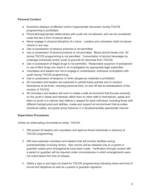# **Personal Conduct**

- Excessive displays of affection and/or inappropriate discussion during TACOS programming is prohibited.
- Personal/inappropriate relationships with youth are not allowed, and can be considered under the law a form of sexual abuse.
- Never engage in physical discipline of a minor. Leaders and volunteers shall not abuse minors in any way.
- Use or possession of tobacco products is not permitted.
- Use or possession of alcohol products is not permitted. Blood alcohol levels over .00 during TACOS programming is not permitted. Consumption of alcohol beverages by underage individuals and/or youth is grounds for dismissal from TACOS.
- Use or possession of illegal drugs is not permitted. Reasonable suspicion of possession or use of illicit drugs can result in an investigation by appropriate legal authorities.
- Volunteers and leaders are not to engage in unwitnessed, individual consultation with youth during TACOS programming.
- Use or possession of weapons or other dangerous materials is prohibited.
- All volunteers and leaders are expected to uphold these policies and to conduct themselves at all times, including personal time, on and off site as ambassadors of the ministry of TACOS.
- All volunteers and leaders will work to create a safe environment that focuses primarily on the youth's needs and interests rather than on other staff or themselves, speak and listen to youth in a manner that reflects a respect for each individual, including those with different backgrounds and abilities, create and support an environment that provides emotional safety, and guide group behavior in a developmentally appropriate manner.

# **Supervision Procedures**

Unless an extenuating circumstance exists, TACOS:

- 1. Will screen all leaders and volunteers and approve those individuals in advance of TACOS programming.
- 2. Will have selected volunteers and leaders that will monitor facilities during events/activities involving minors. Also minors will be released only to a parent or guardian unless prior arrangements have been made. Verification through contact with a parent or guardian will be required under circumstances in which arrangements were not noted before the time of release.
- 3. Utilize a sign-in and sign-out sheet for TACOS programming indicating name and time of arrival and departure as well as a parent or guardian signature.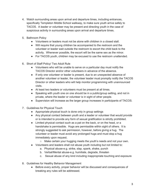- 4. Watch surrounding areas upon arrival and departure times, including entrances, specifically Templeton Middle School walkway, to make sure youth arrive safely to TACOS. A leader or volunteer may be present and directing youth in the case of suspicious activity in surrounding areas upon arrival and departure times.
- 5. Bathroom Policy
	- Volunteers or leaders must not be alone with children in a closed stall.
	- Will require that young children be accompanied to the restroom and the volunteer or leader wait outside the restroom to escort the child back to the activity. Whenever possible, the escort will be the same sex as the minor.
	- For TACOS youth, children may be excused to use the restroom unattended.
- 6. Short of Staff Policy/ Two Adult Rule
	- Volunteers who will be unable to serve on a particular day must notify the TACOS Director and/or other volunteers in advance of the absence.
	- If only one volunteer or leader is present, due to an unexpected absence of another volunteer or leader, the volunteer leader must promptly notify the TACOS Director or other leaders who will help monitor programming with unannounced visits.
	- At least two leaders or volunteers must be present at all times.
	- Speaking with youth one on one should be in a public/group setting, and not in private, where the leader or volunteer is in sight of other people.
	- Supervision will increase as the larger group increases in participants of TACOS.
- 7. Guidelines for Physical Touch
	- Appropriate physical touch is done only in group settings
	- Any physical contact between youth and a leader or volunteer that would provide or is intended to provide any form of sexual gratification is strictly prohibited.
	- Limited physical contact such as a pat on the back, or on the head, or a handshake is permissible. Hugs are permissible within sight of others. It is strongly suggested to ask permission, however, before giving a hug. The volunteer or leader must avoid any prolonged hugs and must stop a hug immediately upon request.
		- Make certain your hugging meets the youth's needs and not your own.
	- Volunteers and leaders shall not abuse youth including but not limited to:
		- a. Physical abuse-e.g. strike, slap, spank, shake, punch
		- b. Verbal/Mental abuse-e.g. humiliate, degrade, threaten
		- c. Sexual abuse of any kind including inappropriate touching and exposure
- 8. Guidelines for Healthy Behavior Management
	- Before every activity, proper behavior will be discussed and consequences of breaking any rules will be addressed.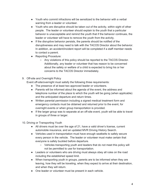- Youth who commit infractions will be sensitized to the behavior with a verbal warning from a leader or volunteer.
- Youth who are disruptive should be taken out of the activity, within sight of other people. The leader or volunteer should explain to the youth that a particular behavior is unacceptable and remind the youth that if the behavior continues, the leader or volunteer will have to remove the youth from the activity.
- If the disruptive behavior persists, the parents should be notified of the disruptiveness and may need to talk with the TACOS Director about the behavior. In addition, an accident/incident report will be completed if a staff member needs to contact a parent.
- Reporting Procedure:
	- Any violations of this policy should be reported to the TACOS Director. Additionally, any leader or volunteer that has reason to be concerned about the safety or welfare of a child is expected to bring his or her concerns to the TACOS Director immediately.
- 9. Off-site and Overnight Policy

Event off-site/overnight must satisfy the following three requirements:

- The presence of at least two approved leader or volunteers.
- Parents will be informed about the agenda of the event, the address and telephone number of the place to which the youth will be going (when applicable) and the anticipated departure and return times.
- Written parental permission including a signed medical treatment form and emergency contacts must be obtained and returned prior to the event, for overnight events or when group transportation is provided.
- If the larger group was to separate at an off-site event, youth will be able to travel in groups of three or larger.
- 10. Driving or Transporting Youth
	- All drivers must be over the age of 21, have a valid driver's license, current automobile insurance, and an updated MVR Driving History Search.
	- Vehicles used in transportation must have enough seatbelts to safely secure every person in the vehicle. The leader or volunteer must make certain that everyone is safely buckled before departure.
		- Vehicles transporting youth and leaders that do not meet this policy will not be permitted to use for transportation.
	- Leaders or volunteers who are driving must always obey all rules on the road including the established speed limit.
	- When transporting youth in groups, parents are to be informed when they are leaving, how they will be traveling, when they expect to arrive at their destination, and when they will return.
	- One leader or volunteer must be present in each vehicle.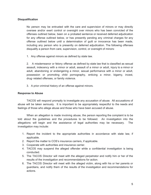## **Disqualification**

No person may be entrusted with the care and supervision of minors or may directly oversee and/or exert control or oversight over minors who has been convicted of the offenses outlined below, been on a probated sentence or received deferred adjudication for any offense outlined below, or has presently pending any criminal charges for any offense outlined below until a determination of guilt or innocence has been made, including any person who is presently on deferred adjudication. The following offenses disqualify a person from care, supervision, control, or oversight of minors:

1. Any offense against minors as defined by state law.

2. A misdemeanor or felony offense as defined by state law that is classified as sexual assault, indecency with a minor or adult, assault of a minor or adult, injury to a minor or adult, abandoning or endangering a minor, sexual performance with a minor or adult, possession or promoting child pornography, enticing a minor, bigamy, incest, drug-related offenses, or family violence.

3. A prior criminal history of an offense against minors.

## **Response to Abuse**

TACOS will respond promptly to investigate any accusation of abuse. All accusations of abuse will be taken seriously. It is important to be appropriately respectful to the needs and feelings of those who allege abuse and those who have been accused of abuse.

When an allegation is made involving abuse, the person reporting the complaint is to be told about the guidelines and the procedures to be followed. An investigation into the allegations will begin and the assistance of legal authorities may be necessary. The investigation may include:

- 1. Report the incident to the appropriate authorities in accordance with state law, if applicable.
- 2. Report the matter to COS's insurance carriers, if applicable.
- 3. Cooperate with authorities and insurance carrier.
- 4. TACOS may suspend the alleged offender while a confidential investigation is being conducted.
- 5. The TACOS Director will meet with the alleged perpetrator and notify him or her of the results of the investigation and recommendations for action.
- 6. The TACOS Director will meet with the alleged victim, along with his or her parents or guardians, and notify them of the results of the investigation and recommendations for actions.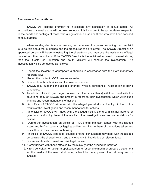#### **Response to Sexual Abuse**

TACOS will respond promptly to investigate any accusation of sexual abuse. All accusations of sexual abuse will be taken seriously. It is important to be appropriately respectful to the needs and feelings of those who allege sexual abuse and those who have been accused of sexual abuse.

When an allegation is made involving sexual abuse, the person reporting the complaint is to be told about the guidelines and the procedures to be followed. The TACOS Director or an appointed person will begin investigating the allegations and may use the assistance of legal counsel or other consultants. If the TACOS Director is the individual accused of sexual abuse, then the Director of Education and Youth Ministry will conduct the investigation. The investigation will be conducted as follows:

- 1. Report the incident to appropriate authorities in accordance with the state mandatory reporting laws.
- 2. Report the matter to COS insurance carrier.
- 3. Cooperate with authorities and the insurance carrier.
- 4. TACOS may suspend the alleged offender while a confidential investigation is being conducted.
- 5. An official of COS (and legal counsel or other consultants) will then meet with the governing body of TACOS and present a report on their investigation, which will include findings and recommendations of actions.
- 6. An official of TACOS will meet with the alleged perpetrator and notify him/her of the results of the investigation and recommendations for actions.
- 7. An official of TACOS will meet with the alleged victim, along with his/her parents or guardians, and notify them of the results of the investigation and recommendations for actions.
- 8. During the investigation, an official of TACOS shall maintain contact with the alleged victim and his/her parents or legal guardian, and inform them of the actions taken and assist them in their process of healing.
- 9. An official of TACOS (and legal counsel or other consultants) may meet with the alleged perpetrator, the alleged victim, and any others with knowledge of relevant facts.
- 10. Communicate with criminal and civil legal counsel.
- 11. Communicate with those affected by the ministry of the alleged perpetrator.
- 12. Hire a consultant or assign a spokesperson to respond to media or prepare a statement for the media if the need shall arise, subject to the approval of an attorney and or TACOS.